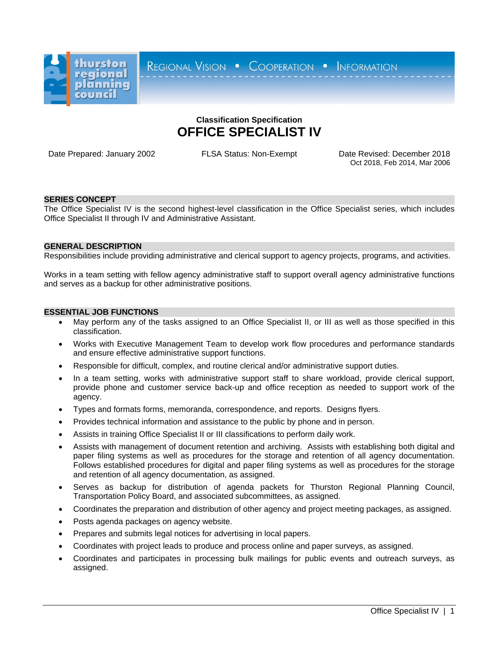

REGIONAL VISION . COOPERATION . INFORMATION

# **Classification Specification OFFICE SPECIALIST IV**

Date Prepared: January 2002 FLSA Status: Non-Exempt Date Revised: December 2018 Oct 2018, Feb 2014, Mar 2006

# **SERIES CONCEPT**

The Office Specialist IV is the second highest-level classification in the Office Specialist series, which includes Office Specialist II through IV and Administrative Assistant.

## **GENERAL DESCRIPTION**

Responsibilities include providing administrative and clerical support to agency projects, programs, and activities.

Works in a team setting with fellow agency administrative staff to support overall agency administrative functions and serves as a backup for other administrative positions.

## **ESSENTIAL JOB FUNCTIONS**

- May perform any of the tasks assigned to an Office Specialist II, or III as well as those specified in this classification.
- Works with Executive Management Team to develop work flow procedures and performance standards and ensure effective administrative support functions.
- Responsible for difficult, complex, and routine clerical and/or administrative support duties.
- In a team setting, works with administrative support staff to share workload, provide clerical support, provide phone and customer service back-up and office reception as needed to support work of the agency.
- Types and formats forms, memoranda, correspondence, and reports. Designs flyers.
- Provides technical information and assistance to the public by phone and in person.
- Assists in training Office Specialist II or III classifications to perform daily work.
- Assists with management of document retention and archiving. Assists with establishing both digital and paper filing systems as well as procedures for the storage and retention of all agency documentation. Follows established procedures for digital and paper filing systems as well as procedures for the storage and retention of all agency documentation, as assigned.
- Serves as backup for distribution of agenda packets for Thurston Regional Planning Council, Transportation Policy Board, and associated subcommittees, as assigned.
- Coordinates the preparation and distribution of other agency and project meeting packages, as assigned.
- Posts agenda packages on agency website.
- Prepares and submits legal notices for advertising in local papers.
- Coordinates with project leads to produce and process online and paper surveys, as assigned.
- Coordinates and participates in processing bulk mailings for public events and outreach surveys, as assigned.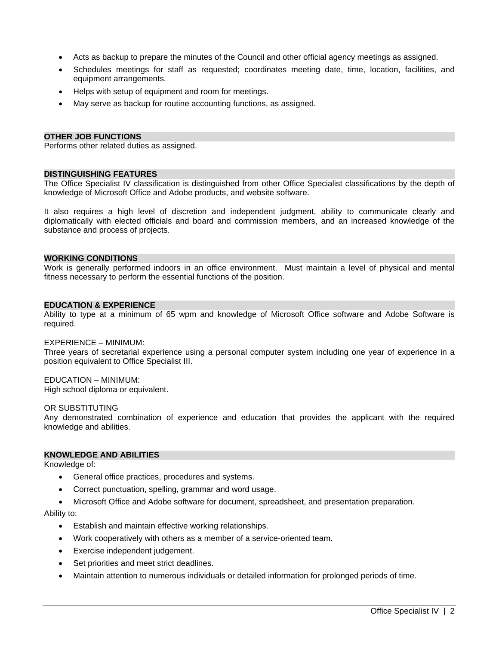- Acts as backup to prepare the minutes of the Council and other official agency meetings as assigned.
- Schedules meetings for staff as requested; coordinates meeting date, time, location, facilities, and equipment arrangements.
- Helps with setup of equipment and room for meetings.
- May serve as backup for routine accounting functions, as assigned.

# **OTHER JOB FUNCTIONS**

Performs other related duties as assigned.

## **DISTINGUISHING FEATURES**

The Office Specialist IV classification is distinguished from other Office Specialist classifications by the depth of knowledge of Microsoft Office and Adobe products, and website software.

It also requires a high level of discretion and independent judgment, ability to communicate clearly and diplomatically with elected officials and board and commission members, and an increased knowledge of the substance and process of projects.

### **WORKING CONDITIONS**

Work is generally performed indoors in an office environment. Must maintain a level of physical and mental fitness necessary to perform the essential functions of the position.

## **EDUCATION & EXPERIENCE**

Ability to type at a minimum of 65 wpm and knowledge of Microsoft Office software and Adobe Software is required.

#### EXPERIENCE – MINIMUM:

Three years of secretarial experience using a personal computer system including one year of experience in a position equivalent to Office Specialist III.

## EDUCATION – MINIMUM:

High school diploma or equivalent.

#### OR SUBSTITUTING

Any demonstrated combination of experience and education that provides the applicant with the required knowledge and abilities.

## **KNOWLEDGE AND ABILITIES**

Knowledge of:

- General office practices, procedures and systems.
- Correct punctuation, spelling, grammar and word usage.
- Microsoft Office and Adobe software for document, spreadsheet, and presentation preparation.

## Ability to:

- Establish and maintain effective working relationships.
- Work cooperatively with others as a member of a service-oriented team.
- Exercise independent judgement.
- Set priorities and meet strict deadlines.
- Maintain attention to numerous individuals or detailed information for prolonged periods of time.